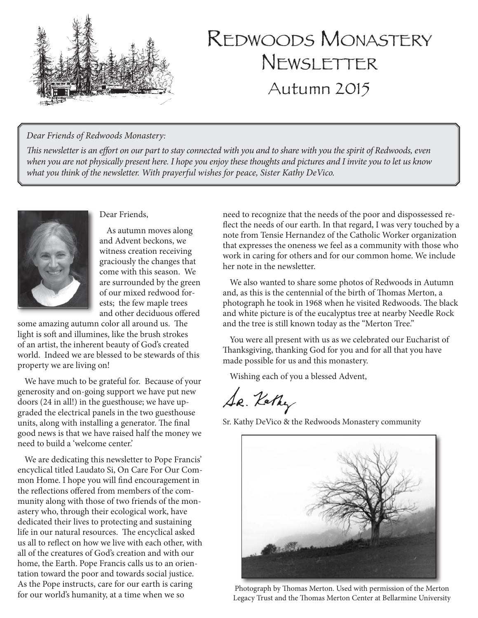

# Redwoods Monastery Newsletter Autumn 2015

#### *Dear Friends of Redwoods Monastery:*

*This newsletter is an effort on our part to stay connected with you and to share with you the spirit of Redwoods, even when you are not physically present here. I hope you enjoy these thoughts and pictures and I invite you to let us know what you think of the newsletter. With prayerful wishes for peace, Sister Kathy DeVico.*



#### Dear Friends,

As autumn moves along and Advent beckons, we witness creation receiving graciously the changes that come with this season. We are surrounded by the green of our mixed redwood forests; the few maple trees and other deciduous offered

some amazing autumn color all around us. The light is soft and illumines, like the brush strokes of an artist, the inherent beauty of God's created world. Indeed we are blessed to be stewards of this property we are living on!

We have much to be grateful for. Because of your generosity and on-going support we have put new doors (24 in all!) in the guesthouse; we have upgraded the electrical panels in the two guesthouse units, along with installing a generator. The final good news is that we have raised half the money we need to build a 'welcome center.'

We are dedicating this newsletter to Pope Francis' encyclical titled Laudato Si, On Care For Our Common Home. I hope you will find encouragement in the reflections offered from members of the community along with those of two friends of the monastery who, through their ecological work, have dedicated their lives to protecting and sustaining life in our natural resources. The encyclical asked us all to reflect on how we live with each other, with all of the creatures of God's creation and with our home, the Earth. Pope Francis calls us to an orientation toward the poor and towards social justice. As the Pope instructs, care for our earth is caring for our world's humanity, at a time when we so

need to recognize that the needs of the poor and dispossessed reflect the needs of our earth. In that regard, I was very touched by a note from Tensie Hernandez of the Catholic Worker organization that expresses the oneness we feel as a community with those who work in caring for others and for our common home. We include her note in the newsletter.

We also wanted to share some photos of Redwoods in Autumn and, as this is the centennial of the birth of Thomas Merton, a photograph he took in 1968 when he visited Redwoods. The black and white picture is of the eucalyptus tree at nearby Needle Rock and the tree is still known today as the "Merton Tree."

You were all present with us as we celebrated our Eucharist of Thanksgiving, thanking God for you and for all that you have made possible for us and this monastery.

Wishing each of you a blessed Advent,

Se. Kathy

Sr. Kathy DeVico & the Redwoods Monastery community



Photograph by Thomas Merton. Used with permission of the Merton Legacy Trust and the Thomas Merton Center at Bellarmine University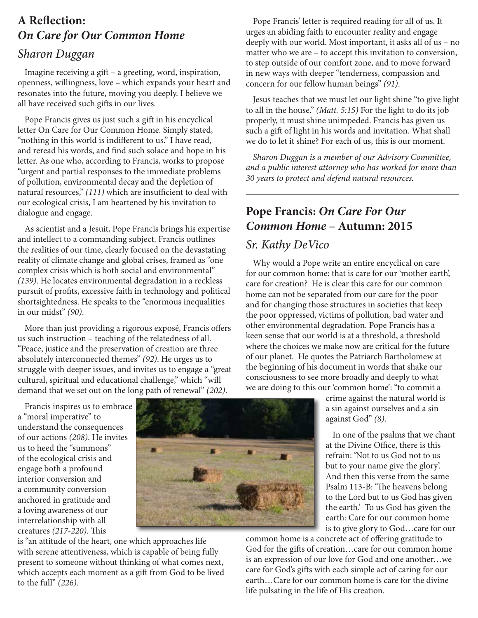## **A Reflection:**  *On Care for Our Common Home*

#### *Sharon Duggan*

Imagine receiving a gift – a greeting, word, inspiration, openness, willingness, love – which expands your heart and resonates into the future, moving you deeply. I believe we all have received such gifts in our lives.

Pope Francis gives us just such a gift in his encyclical letter On Care for Our Common Home. Simply stated, "nothing in this world is indifferent to us." I have read, and reread his words, and find such solace and hope in his letter. As one who, according to Francis, works to propose "urgent and partial responses to the immediate problems of pollution, environmental decay and the depletion of natural resources," *(111)* which are insufficient to deal with our ecological crisis, I am heartened by his invitation to dialogue and engage.

As scientist and a Jesuit, Pope Francis brings his expertise and intellect to a commanding subject. Francis outlines the realities of our time, clearly focused on the devastating reality of climate change and global crises, framed as "one complex crisis which is both social and environmental" *(139)*. He locates environmental degradation in a reckless pursuit of profits, excessive faith in technology and political shortsightedness. He speaks to the "enormous inequalities in our midst" *(90)*.

More than just providing a rigorous exposé, Francis offers us such instruction – teaching of the relatedness of all. "Peace, justice and the preservation of creation are three absolutely interconnected themes" *(92)*. He urges us to struggle with deeper issues, and invites us to engage a "great cultural, spiritual and educational challenge," which "will demand that we set out on the long path of renewal" *(202)*.

Pope Francis' letter is required reading for all of us. It urges an abiding faith to encounter reality and engage deeply with our world. Most important, it asks all of us – no matter who we are – to accept this invitation to conversion, to step outside of our comfort zone, and to move forward in new ways with deeper "tenderness, compassion and concern for our fellow human beings" *(91)*.

Jesus teaches that we must let our light shine "to give light to all in the house." *(Matt. 5:15)* For the light to do its job properly, it must shine unimpeded. Francis has given us such a gift of light in his words and invitation. What shall we do to let it shine? For each of us, this is our moment.

*Sharon Duggan is a member of our Advisory Committee, and a public interest attorney who has worked for more than 30 years to protect and defend natural resources.*

 $\overline{a}$ 

### **Pope Francis:** *On Care For Our Common Home* **– Autumn: 2015**

#### *Sr. Kathy DeVico*

Why would a Pope write an entire encyclical on care for our common home: that is care for our 'mother earth', care for creation? He is clear this care for our common home can not be separated from our care for the poor and for changing those structures in societies that keep the poor oppressed, victims of pollution, bad water and other environmental degradation. Pope Francis has a keen sense that our world is at a threshold, a threshold where the choices we make now are critical for the future of our planet. He quotes the Patriarch Bartholomew at the beginning of his document in words that shake our consciousness to see more broadly and deeply to what we are doing to this our 'common home': "to commit a

crime against the natural world is a sin against ourselves and a sin against God" *(8)*. In one of the psalms that we chant

at the Divine Office, there is this refrain: 'Not to us God not to us but to your name give the glory'. And then this verse from the same Psalm 113-B: 'The heavens belong to the Lord but to us God has given the earth.' To us God has given the earth: Care for our common home is to give glory to God…care for our

common home is a concrete act of offering gratitude to God for the gifts of creation…care for our common home is an expression of our love for God and one another…we care for God's gifts with each simple act of caring for our earth…Care for our common home is care for the divine life pulsating in the life of His creation.

Francis inspires us to embrace a "moral imperative" to understand the consequences of our actions *(208)*. He invites us to heed the "summons" of the ecological crisis and engage both a profound interior conversion and a community conversion anchored in gratitude and a loving awareness of our interrelationship with all creatures *(217-220)*. This



is "an attitude of the heart, one which approaches life with serene attentiveness, which is capable of being fully present to someone without thinking of what comes next, which accepts each moment as a gift from God to be lived to the full" *(226).*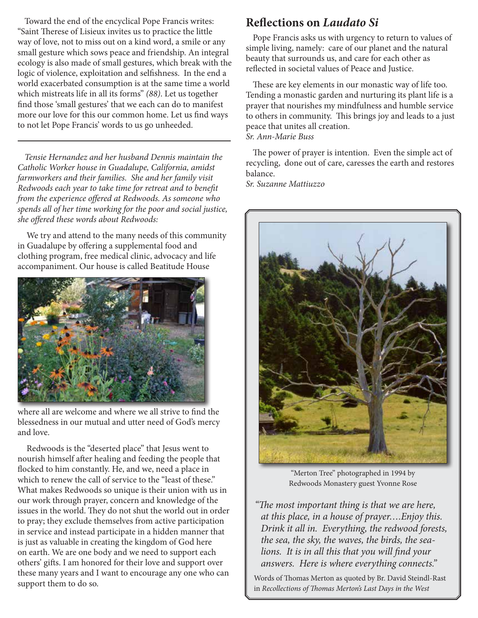Toward the end of the encyclical Pope Francis writes: "Saint Therese of Lisieux invites us to practice the little way of love, not to miss out on a kind word, a smile or any small gesture which sows peace and friendship. An integral ecology is also made of small gestures, which break with the logic of violence, exploitation and selfishness. In the end a world exacerbated consumption is at the same time a world which mistreats life in all its forms" *(88)*. Let us together find those 'small gestures' that we each can do to manifest more our love for this our common home. Let us find ways to not let Pope Francis' words to us go unheeded.

*Tensie Hernandez and her husband Dennis maintain the Catholic Worker house in Guadalupe, California, amidst farmworkers and their families. She and her family visit Redwoods each year to take time for retreat and to benefit from the experience offered at Redwoods. As someone who spends all of her time working for the poor and social justice, she offered these words about Redwoods:*

 We try and attend to the many needs of this community in Guadalupe by offering a supplemental food and clothing program, free medical clinic, advocacy and life accompaniment. Our house is called Beatitude House



where all are welcome and where we all strive to find the blessedness in our mutual and utter need of God's mercy and love.

 Redwoods is the "deserted place" that Jesus went to nourish himself after healing and feeding the people that flocked to him constantly. He, and we, need a place in which to renew the call of service to the "least of these." What makes Redwoods so unique is their union with us in our work through prayer, concern and knowledge of the issues in the world. They do not shut the world out in order to pray; they exclude themselves from active participation in service and instead participate in a hidden manner that is just as valuable in creating the kingdom of God here on earth. We are one body and we need to support each others' gifts. I am honored for their love and support over these many years and I want to encourage any one who can support them to do so.

#### **Reflections on** *Laudato Si*

Pope Francis asks us with urgency to return to values of simple living, namely: care of our planet and the natural beauty that surrounds us, and care for each other as reflected in societal values of Peace and Justice.

These are key elements in our monastic way of life too. Tending a monastic garden and nurturing its plant life is a prayer that nourishes my mindfulness and humble service to others in community. This brings joy and leads to a just peace that unites all creation. *Sr. Ann-Marie Buss*

The power of prayer is intention. Even the simple act of recycling, done out of care, caresses the earth and restores balance.

*Sr. Suzanne Mattiuzzo*



"Merton Tree" photographed in 1994 by Redwoods Monastery guest Yvonne Rose

*"The most important thing is that we are here, at this place, in a house of prayer….Enjoy this. Drink it all in. Everything, the redwood forests, the sea, the sky, the waves, the birds, the sealions. It is in all this that you will find your answers. Here is where everything connects."* 

Words of Thomas Merton as quoted by Br. David Steindl-Rast in *Recollections of Thomas Merton's Last Days in the West*